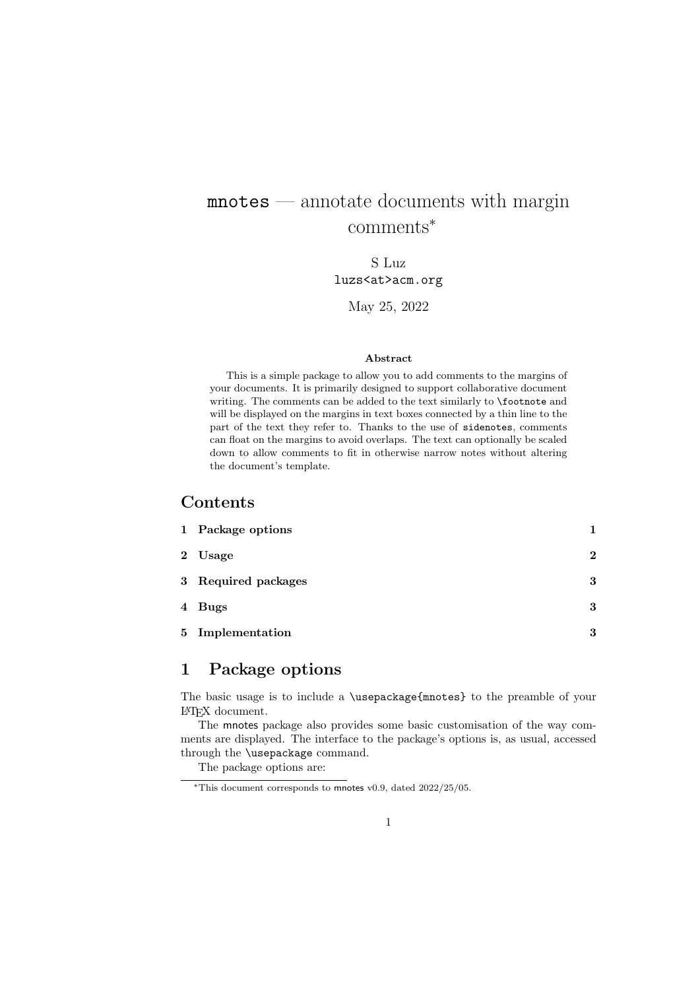# mnotes — annotate documents with margin comments<sup>∗</sup>

S Luz luzs<at>acm.org

May 25, 2022

#### Abstract

This is a simple package to allow you to add comments to the margins of your documents. It is primarily designed to support collaborative document writing. The comments can be added to the text similarly to \footnote and will be displayed on the margins in text boxes connected by a thin line to the part of the text they refer to. Thanks to the use of sidenotes, comments can float on the margins to avoid overlaps. The text can optionally be scaled down to allow comments to fit in otherwise narrow notes without altering the document's template.

#### Contents

| 1 Package options   |              |
|---------------------|--------------|
| 2 Usage             | $\mathbf{2}$ |
| 3 Required packages | 3            |
| 4 Bugs              | 3            |
| 5 Implementation    | 3            |

## 1 Package options

The basic usage is to include a \usepackage{mnotes} to the preamble of your LATEX document.

The mnotes package also provides some basic customisation of the way comments are displayed. The interface to the package's options is, as usual, accessed through the \usepackage command.

The package options are:

<sup>∗</sup>This document corresponds to mnotes v0.9, dated 2022/25/05.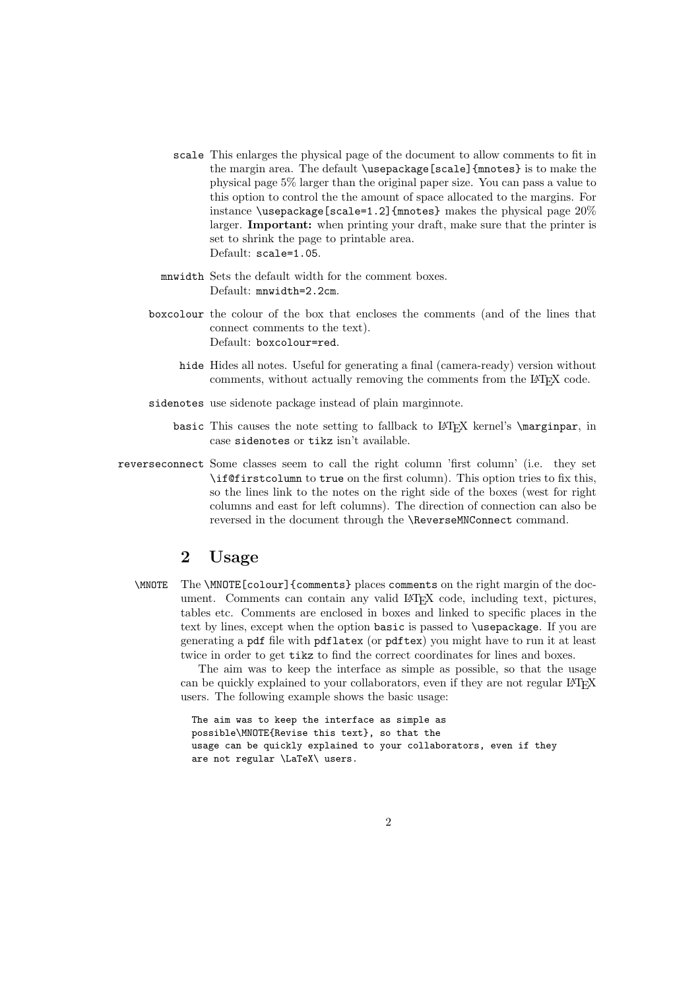- scale This enlarges the physical page of the document to allow comments to fit in the margin area. The default \usepackage[scale]{mnotes} is to make the physical page 5% larger than the original paper size. You can pass a value to this option to control the the amount of space allocated to the margins. For instance \usepackage[scale=1.2]{mnotes} makes the physical page  $20\%$ larger. Important: when printing your draft, make sure that the printer is set to shrink the page to printable area. Default: scale=1.05.
- mnwidth Sets the default width for the comment boxes. Default: mnwidth=2.2cm.
- boxcolour the colour of the box that encloses the comments (and of the lines that connect comments to the text). Default: boxcolour=red.
	- hide Hides all notes. Useful for generating a final (camera-ready) version without comments, without actually removing the comments from the L<sup>A</sup>T<sub>E</sub>X code.
- sidenotes use sidenote package instead of plain marginnote.
	- basic This causes the note setting to fallback to LAT<sub>E</sub>X kernel's \marginpar, in case sidenotes or tikz isn't available.
- reverseconnect Some classes seem to call the right column 'first column' (i.e. they set \if@firstcolumn to true on the first column). This option tries to fix this, so the lines link to the notes on the right side of the boxes (west for right columns and east for left columns). The direction of connection can also be reversed in the document through the \ReverseMNConnect command.

### 2 Usage

\MNOTE The \MNOTE[colour]{comments} places comments on the right margin of the document. Comments can contain any valid LATEX code, including text, pictures, tables etc. Comments are enclosed in boxes and linked to specific places in the text by lines, except when the option basic is passed to \usepackage. If you are generating a pdf file with pdflatex (or pdftex) you might have to run it at least twice in order to get tikz to find the correct coordinates for lines and boxes.

The aim was to keep the interface as simple as possible, so that the usage can be quickly explained to your collaborators, even if they are not regular LAT<sub>EX</sub> users. The following example shows the basic usage:

```
The aim was to keep the interface as simple as
possible\MNOTE{Revise this text}, so that the
usage can be quickly explained to your collaborators, even if they
are not regular \LaTeX\ users.
```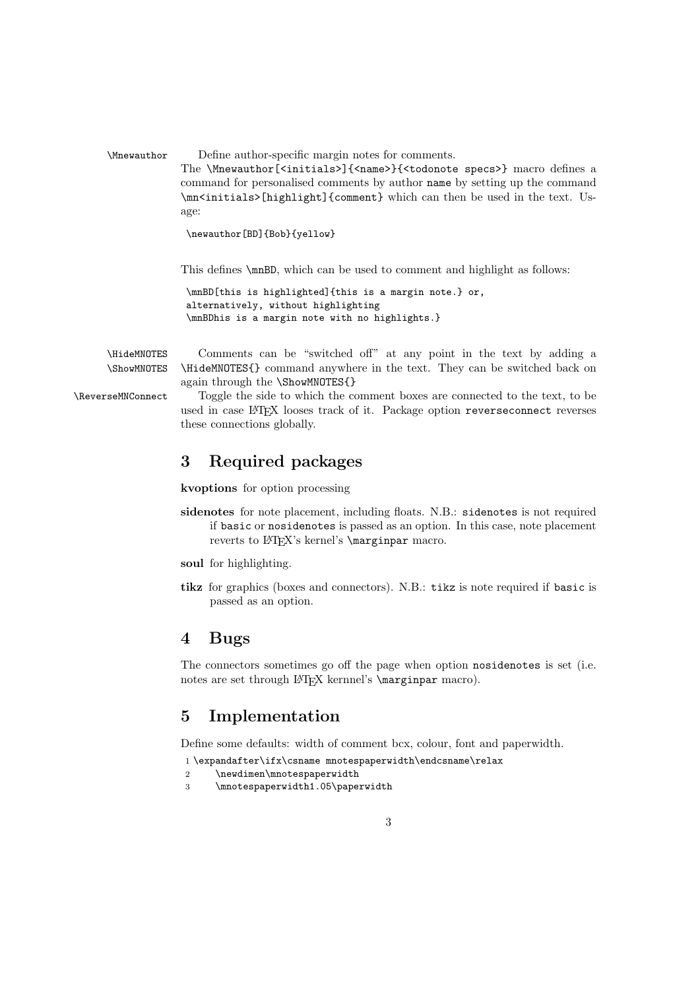\Mnewauthor Define author-specific margin notes for comments. The \Mnewauthor[<initials>]{<name>}{<todonote specs>} macro defines a command for personalised comments by author name by setting up the command

\mn<initials>[highlight]{comment} which can then be used in the text. Usage:

\newauthor[BD]{Bob}{yellow}

This defines \mnBD, which can be used to comment and highlight as follows:

```
\mnBD[this is highlighted]{this is a margin note.} or,
alternatively, without highlighting
\mnBDhis is a margin note with no highlights.}
```
\HideMNOTES Comments can be "switched off" at any point in the text by adding a \ShowMNOTES \HideMNOTES{} command anywhere in the text. They can be switched back on again through the \ShowMNOTES{}

\ReverseMNConnect Toggle the side to which the comment boxes are connected to the text, to be used in case LATEX looses track of it. Package option reverseconnect reverses these connections globally.

## 3 Required packages

kvoptions for option processing

- sidenotes for note placement, including floats. N.B.: sidenotes is not required if basic or nosidenotes is passed as an option. In this case, note placement reverts to LAT<sub>E</sub>X's kernel's *\marginpar macro.*
- soul for highlighting.
- tikz for graphics (boxes and connectors). N.B.: tikz is note required if basic is passed as an option.

### 4 Bugs

The connectors sometimes go off the page when option nosidenotes is set (i.e. notes are set through LAT<sub>EX</sub> kernnel's *\marginpar macro*).

### 5 Implementation

Define some defaults: width of comment bcx, colour, font and paperwidth.

1 \expandafter\ifx\csname mnotespaperwidth\endcsname\relax

```
2 \newdimen\mnotespaperwidth
```
3 \mnotespaperwidth1.05\paperwidth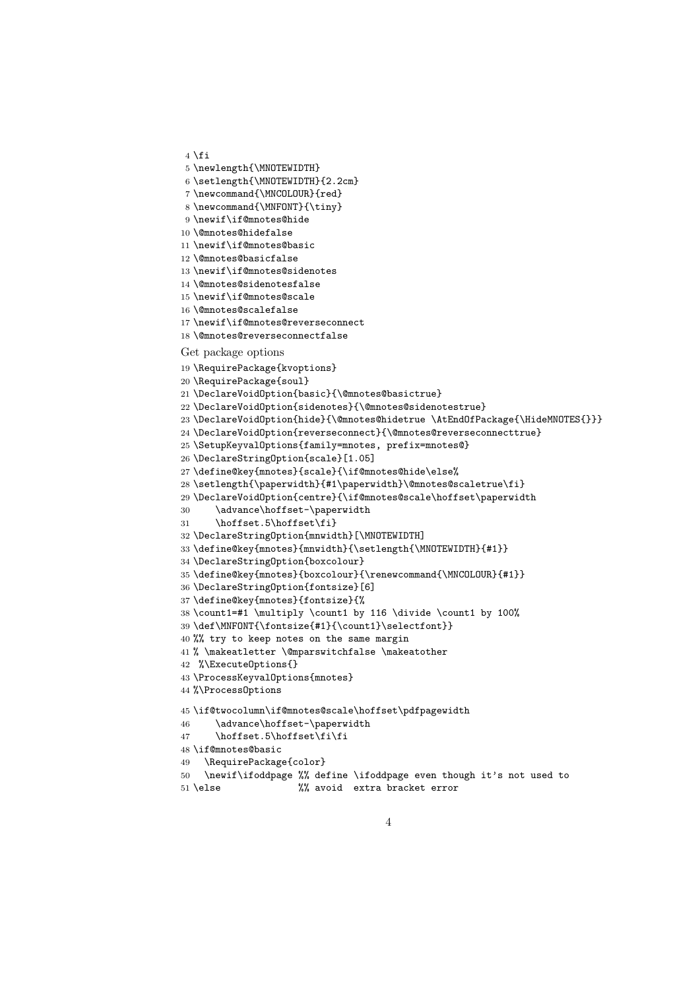```
4 \fi
5 \newlength{\MNOTEWIDTH}
6 \setlength{\MNOTEWIDTH}{2.2cm}
7 \newcommand{\MNCOLOUR}{red}
8 \newcommand{\MNFONT}{\tiny}
9 \newif\if@mnotes@hide
10 \@mnotes@hidefalse
11 \newif\if@mnotes@basic
12 \@mnotes@basicfalse
13 \newif\if@mnotes@sidenotes
14 \@mnotes@sidenotesfalse
15 \newif\if@mnotes@scale
16 \@mnotes@scalefalse
17 \newif\if@mnotes@reverseconnect
18 \@mnotes@reverseconnectfalse
Get package options
19 \RequirePackage{kvoptions}
20 \RequirePackage{soul}
21 \DeclareVoidOption{basic}{\@mnotes@basictrue}
22 \DeclareVoidOption{sidenotes}{\@mnotes@sidenotestrue}
23 \DeclareVoidOption{hide}{\@mnotes@hidetrue \AtEndOfPackage{\HideMNOTES{}}}
24 \DeclareVoidOption{reverseconnect}{\@mnotes@reverseconnecttrue}
25 \SetupKeyvalOptions{family=mnotes, prefix=mnotes@}
26 \DeclareStringOption{scale}[1.05]
27 \define@key{mnotes}{scale}{\if@mnotes@hide\else%
28 \setlength{\paperwidth}{#1\paperwidth}\@mnotes@scaletrue\fi}
29 \DeclareVoidOption{centre}{\if@mnotes@scale\hoffset\paperwidth
30 \advance\hoffset-\paperwidth
31 \hoffset.5\hoffset\fi}
32 \DeclareStringOption{mnwidth}[\MNOTEWIDTH]
33 \define@key{mnotes}{mnwidth}{\setlength{\MNOTEWIDTH}{#1}}
34 \DeclareStringOption{boxcolour}
35 \define@key{mnotes}{boxcolour}{\renewcommand{\MNCOLOUR}{#1}}
36 \DeclareStringOption{fontsize}[6]
37 \define@key{mnotes}{fontsize}{%
38 \count1=#1 \multiply \count1 by 116 \divide \count1 by 100%
39 \def\MNFONT{\fontsize{#1}{\count1}\selectfont}}
40 %% try to keep notes on the same margin
41 % \makeatletter \@mparswitchfalse \makeatother
42 %\ExecuteOptions{}
43 \ProcessKeyvalOptions{mnotes}
44 %\ProcessOptions
45 \text{\tt \bf \bf}46 \advance\hoffset-\paperwidth
47 \hoffset.5\hoffset\fi\fi
48 \if@mnotes@basic
49 \RequirePackage{color}
50 \newif\ifoddpage %% define \ifoddpage even though it's not used to
51 \else %% avoid extra bracket error
```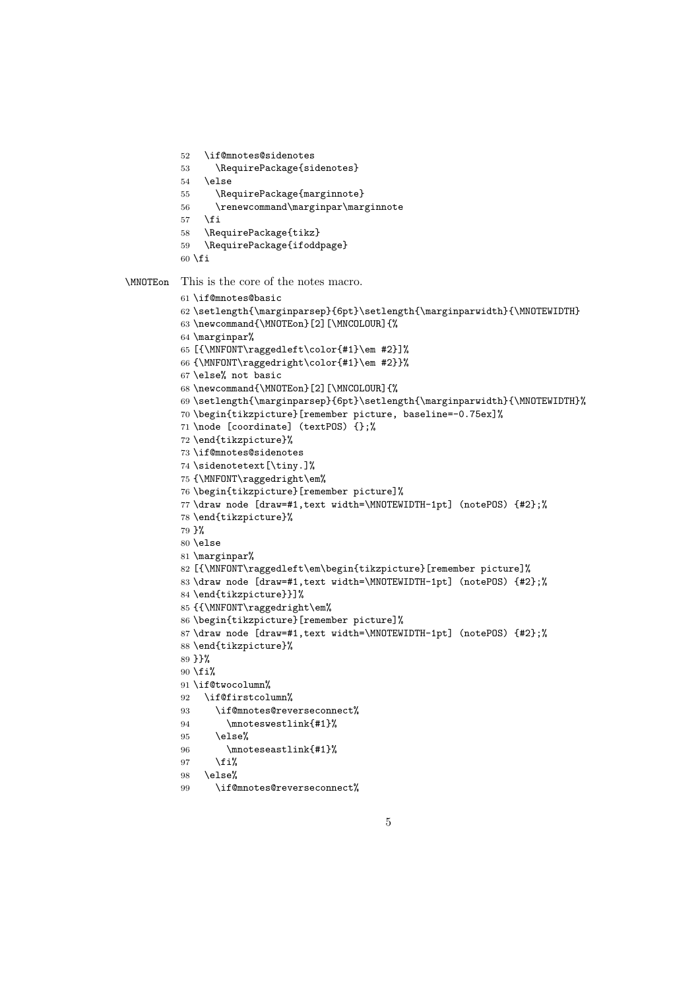```
52 \if@mnotes@sidenotes
          53 \RequirePackage{sidenotes}
          54 \else
          55 \RequirePackage{marginnote}
          56 \renewcommand\marginpar\marginnote
          57 \fi
          58 \RequirePackage{tikz}
          59 \RequirePackage{ifoddpage}
          60 \overline{f}i
\MNOTEon This is the core of the notes macro.
          61 \if@mnotes@basic
          62 \setminus \text{Imarginparsep}{6pt}\setlength{\marginparwidth}{\M0TEWIDTH}63 \newcommand{\MNOTEon}[2][\MNCOLOUR]{%
          64 \marginpar%
          65 [{\MNFONT\raggedleft\color{#1}\em #2}]%
          66 {\MNFONT\raggedright\color{#1}\em #2}}%
          67 \else% not basic
          68 \newcommand{\MNOTEon}[2][\MNCOLOUR]{%
          69 \setlength{\marginparsep}{6pt}\setlength{\marginparwidth}{\MNOTEWIDTH}%
          70 \begin{tikzpicture}[remember picture, baseline=-0.75ex]%
          71 \node [coordinate] (textPOS) {};%
          72 \end{tikzpicture}%
          73 \if@mnotes@sidenotes
          74 \sidenotetext[\tiny.]%
          75 {\MNFONT\raggedright\em%
          76 \begin{tikzpicture}[remember picture]%
          77 \draw node [draw=#1,text width=\MNOTEWIDTH-1pt] (notePOS) {#2};%
          78 \end{tikzpicture}%
          79 }%
          80 \else
          81 \marginpar%
          82 [{\MNFONT\raggedleft\em\begin{tikzpicture}[remember picture]%
          83 \draw node [draw=#1,text width=\MNOTEWIDTH-1pt] (notePOS) {#2};%
          84 \end{tikzpicture}}]%
          85 {{\MNFONT\raggedright\em%
          86 \begin{tikzpicture}[remember picture]%
          87 \draw node [draw=#1,text width=\MNOTEWIDTH-1pt] (notePOS) {#2};%
          88 \end{tikzpicture}%
          89 }}%
          90 \fi%
          91 \if@twocolumn%
          92 \if@firstcolumn%
          93 \if@mnotes@reverseconnect%
          94 \mnoteswestlink{#1}%
          95 \else%
          96 \mnoteseastlink{#1}%
          97 \fi%
          98 \else%
          99 \if@mnotes@reverseconnect%
```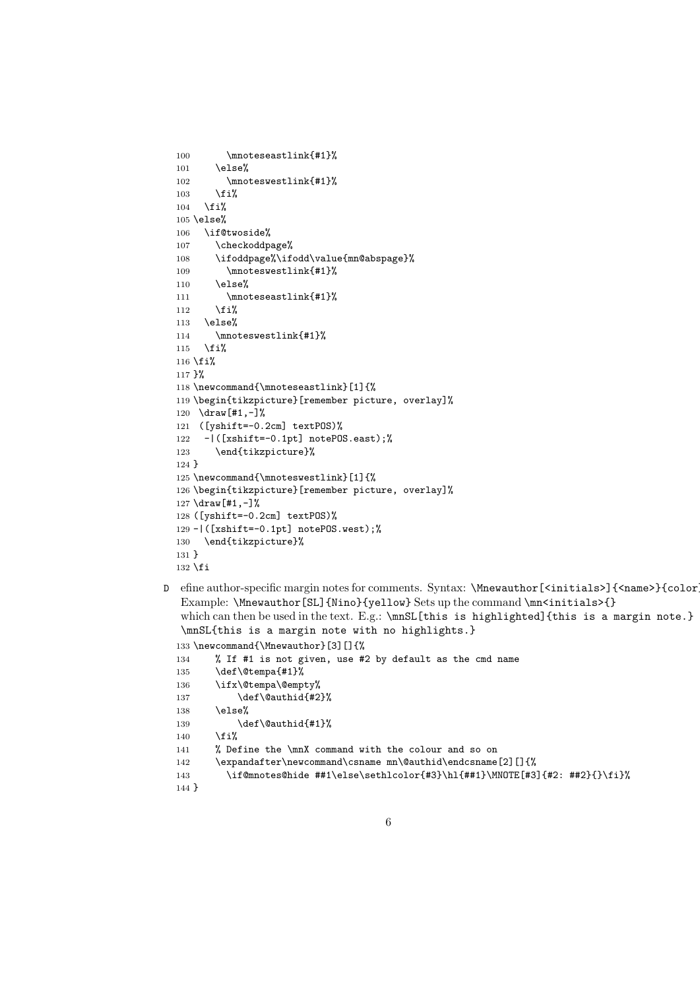```
100 \mnoteseastlink{#1}%
  101 \else%
  102 \mnoteswestlink{#1}%
  103 \fi%
  104 \fi%
  105 \else%
  106 \if@twoside%
  107 \checkoddpage%
  108 \ifoddpage%\ifodd\value{mn@abspage}%
  109 \mnoteswestlink{#1}%
  110 \else%
  111 \mnoteseastlink{#1}%
  112 \overrightarrow{fi}113 \else%
  114 \mnoteswestlink{#1}%
  115 \fi%
  116 \fifi%
  117 }%
  118 \newcommand{\mnoteseastlink}[1]{%
  119 \begin{tikzpicture}[remember picture, overlay]%
  120 \draw[#1,-]%
  121 ([yshift=-0.2cm] textPOS)%
  122 -|([xshift=-0.1pt] notePOS.east);%
  123 \end{tikzpicture}%
  124 }
  125 \newcommand{\mnoteswestlink}[1]{%
  126 \begin{tikzpicture}[remember picture, overlay]%
  127 \draw[#1,-]%
  128 ([yshift=-0.2cm] textPOS)%
  129 -|([xshift=-0.1pt] notePOS.west);%
  130 \end{tikzpicture}%
  131 }
  132 \fiD efine author-specific margin notes for comments. Syntax: \Mnewauthor[<initials>]{<name>}{color}
  Example: \Mnewauthor[SL]{Nino}{yellow} Sets up the command \mn<initials>{}
```

```
which can then be used in the text. E.g.: \max[this is highlighted]{this is a margin note.}
\mnSL{this is a margin note with no highlights.}
```

```
133 \newcommand{\Mnewauthor}[3][]{%
134 % If #1 is not given, use #2 by default as the cmd name
135 \def\@tempa{#1}%
136 \ifx\@tempa\@empty%
137 \def\@authid{#2}%
138 \else%
139 \def\@authid{#1}%
140 \fi%
141 % Define the \mnX command with the colour and so on
142 \expandafter\newcommand\csname mn\@authid\endcsname[2][]{%
143 \if@mnotes@hide ##1\else\sethlcolor{#3}\hl{##1}\MNOTE[#3]{#2: ##2}{}\fi}%
144 }
```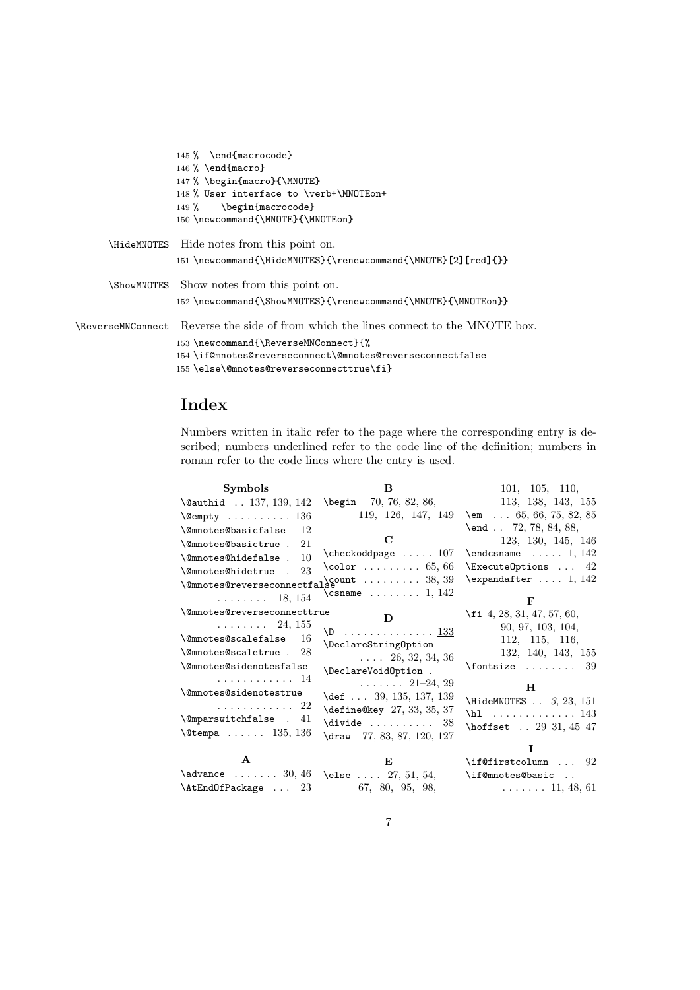```
145 % \end{macrocode}
                  146 % \end{macro}
                  147 % \begin{macro}{\MNOTE}
                  148 % User interface to \verb+\MNOTEon+
                  149 % \begin{macrocode}
                  150 \newcommand{\MNOTE}{\MNOTEon}
      \HideMNOTES Hide notes from this point on.
                  151 \newcommand{\HideMNOTES}{\renewcommand{\MNOTE}[2][red]{}}
      \ShowMNOTES Show notes from this point on.
                  152 \newcommand{\ShowMNOTES}{\renewcommand{\MNOTE}{\MNOTEon}}
\ReverseMNConnect Reverse the side of from which the lines connect to the MNOTE box.
                  153 \newcommand{\ReverseMNConnect}{%
                  154 \if@mnotes@reverseconnect\@mnotes@reverseconnectfalse
```
#### 155 \else\@mnotes@reverseconnecttrue\fi}

#### Index

Numbers written in italic refer to the page where the corresponding entry is described; numbers underlined refer to the code line of the definition; numbers in roman refer to the code lines where the entry is used.

| <b>Symbols</b>                                                        | в                                    | 101, 105, 110,                     |
|-----------------------------------------------------------------------|--------------------------------------|------------------------------------|
| \@authid . 137, 139, 142 \begin 70, 76, 82, 86, 113, 138, 143, 155    |                                      |                                    |
| $\emptyset$ empty  136                                                | 119, 126, 147, 149                   | \em $\ldots$ 65, 66, 75, 82, 85    |
| <i><b>\@mnotes@basicfalse</b></i><br>12                               |                                      | $\text{end }$ 72, 78, 84, 88,      |
| \@mnotes@basictrue .<br>21                                            | $\mathbf C$                          | 123, 130, 145, 146                 |
| $\{\n$ <sup>OmnotesOhidefalse . 10</sup>                              |                                      | $\end{math}$ 1, 142                |
| 23<br>\@mnotes@hidetrue .                                             | $\text{color} \dots \dots \ 65,66$   | $\text{ExecuteOptions} \dots 42$   |
| $\label{thm:main} $$ \Phi\otimes@reverse connected as \mathcal{S} $$$ |                                      | $\text{expandafter} \dots 1, 142$  |
| $\ldots \ldots \ldots 18, 154$                                        | $\Gamma \ldots \ldots \ldots$ 1, 142 | F                                  |
| \@mnotes@reverseconnecttrue                                           | D                                    | $\{f_i, 4, 28, 31, 47, 57, 60, \}$ |
| $\ldots \ldots 24, 155$                                               | $\backslash$ D <u>133</u>            | 90, 97, 103, 104,                  |
| <b>\@mnotes@scalefalse</b><br>-16                                     | \DeclareString0ption                 | 112, 115, 116,                     |
| \@mnotes@scaletrue . 28                                               | $\ldots$ 26, 32, 34, 36              | 132, 140, 143, 155                 |
| \@mnotes@sidenotesfalse                                               | \DeclareVoidOption .                 | $\forall$ fontsize  39             |
| . 14                                                                  | $\cdots$ $\cdots$ 21-24, 29          |                                    |
| <i><b>\@mnotes@sidenotestrue</b></i>                                  | \def  39, 135, 137, 139              | н                                  |
| . 22                                                                  | \define@key 27, 33, 35, 37           | \HideMNOTES $\ldots$ 3, 23, 151    |
| \@mparswitchfalse . 41                                                | $\d{i$ <sup>78</sup> $38$            | $\hbar$ 143                        |
| $\text{Setempa} \dots 135, 136$                                       | \draw 77, 83, 87, 120, 127           | \hoffset  29-31, 45-47             |
|                                                                       |                                      | T                                  |
| $\mathbf{A}$                                                          | E                                    | \if@firstcolumn  92                |
| \advance  30, 46 \else  27, 51, 54,                                   |                                      | \if@mnotes@basic                   |
| $\text{AtEndOfPackage} \dots 23$ 67, 80, 95, 98,                      |                                      | $\ldots \ldots 11, 48, 61$         |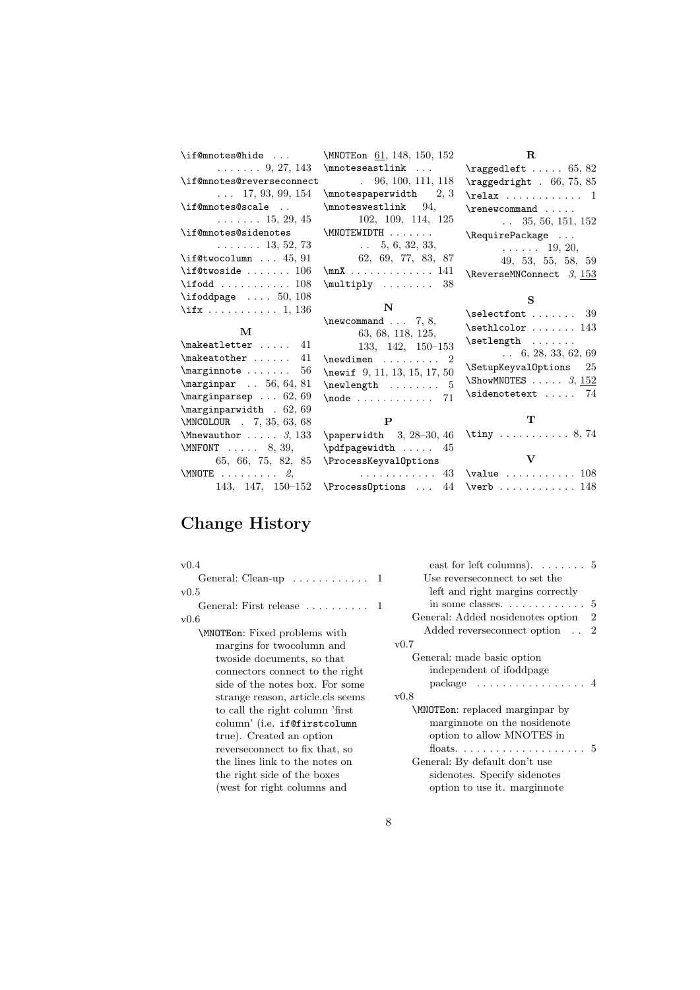| \if@mnotes@hide                          | \MNOTE on 61, 148, 150, 152                                                                                                                          | $\mathbf{R}$                                                            |
|------------------------------------------|------------------------------------------------------------------------------------------------------------------------------------------------------|-------------------------------------------------------------------------|
| $\ldots \ldots 9, 27, 143$               | $\{\text{mmoteseastlink} \dots\}$                                                                                                                    | $\text{ragedleft} \dots 65, 82$                                         |
| \if@mnotes@reverseconnect                | $. \t96, 100, 111, 118$                                                                                                                              | $\text{ragedright}$ . 66, 75, 85                                        |
| $\ldots$ 17, 93, 99, 154                 | $\{\text{monotempervised} \$ 2, 3                                                                                                                    | $\text{relax} \dots \dots \dots 1$                                      |
| \if@mnotes@scale                         | \mnoteswestlink 94,                                                                                                                                  | $\gamma$                                                                |
| $\ldots \ldots 15, 29, 45$               | 102, 109, 114, 125                                                                                                                                   | $\ldots$ 35, 56, 151, 152                                               |
| \if@mnotes@sidenotes                     | \MNOTEWIDTH                                                                                                                                          | \RequirePackage                                                         |
| $\ldots \ldots 13, 52, 73$               | $\ldots$ 5, 6, 32, 33,                                                                                                                               | $\cdots$ $\cdots$ 19, 20,                                               |
| $\iota$ : $45, 91$                       | 62, 69, 77, 83, 87                                                                                                                                   | 49, 53, 55, 58, 59                                                      |
| $\backslash$ if@twoside  106             | $\max$ 141                                                                                                                                           | \ReverseMNConnect 3, 153                                                |
| $\iota$ ifodd $108$                      | $\mu$ ltiply  38                                                                                                                                     |                                                                         |
| $\left\{ \right\}$ $50, 108$             |                                                                                                                                                      | S                                                                       |
| $\iota$ ifx 1, 136                       | N                                                                                                                                                    | $\setminus$ selectfont  39                                              |
|                                          | $\neq$ 7, 8,                                                                                                                                         | $\setminus$ sethlcolor  143                                             |
| $\mathbf{M}$                             | 63, 68, 118, 125,                                                                                                                                    |                                                                         |
| $\mathcal{L}$ akeatletter  41            | 133, 142, 150-153                                                                                                                                    |                                                                         |
| $\mathcal{L}$ = 41                       | $\neq$ 2                                                                                                                                             | $\ldots$ 6, 28, 33, 62, 69                                              |
| $\text{marginnote} \dots \dots \quad 56$ | \newif $9, 11, 13, 15, 17, 50$                                                                                                                       | \SetupKeyvalOptions<br>25                                               |
| $\m{marginpar$ . 56, 64, 81              | $\neq 5$                                                                                                                                             | $\text{ShowMNOTES} \ldots 3, 152$                                       |
| $\m{marginparsep \ldots 62, 69}$         | $\node$ $71$                                                                                                                                         | \sidenotetext  74                                                       |
| $\text{marginparwidth}$ . 62, 69         |                                                                                                                                                      |                                                                         |
| \MNCOLOUR . 7, 35, 63, 68                | $\mathbf{P}$                                                                                                                                         | т                                                                       |
| $\M$ newauthor  3, 133                   | $\epsilon$ \paperwidth 3, 28-30, 46                                                                                                                  | \tiny  8,74                                                             |
| $\text{MMFONT} \ldots 8, 39,$            | \pdfpagewidth  45                                                                                                                                    |                                                                         |
| 65, 66, 75, 82, 85                       | \ProcessKeyvalOptions                                                                                                                                | $\mathbf v$                                                             |
| $\text{MMOTE}$ 2,                        |                                                                                                                                                      | $\ldots \ldots \ldots \quad 43$ \value $\ldots \ldots \ldots \quad 108$ |
| 143, 147, 150-152                        | $\PrecessOptions \dots 44 \verb vertex@ptions  44 \verb vertex@ptions  44 \verb vertex@ptions  44 \verb vertex@ptions   44 \verb vertex@ptions   48$ |                                                                         |

# Change History

| v(0.4)                                          | east for left columns). $\dots \dots 5$               |
|-------------------------------------------------|-------------------------------------------------------|
| General: Clean-up $\dots \dots \dots \dots 1$   | Use reverseconnect to set the                         |
| v0.5                                            | left and right margins correctly                      |
| General: First release $\ldots \ldots \ldots 1$ | in some classes. $\dots \dots \dots \dots 5$          |
| v0.6                                            | General: Added nosidenotes option<br>$\overline{2}$   |
| \MNOTE on: Fixed problems with                  | Added reverseconnect option 2                         |
| margins for two column and                      | v0.7                                                  |
| two side documents, so that                     | General: made basic option                            |
| connectors connect to the right                 | independent of ifoddpage                              |
| side of the notes box. For some                 | package $\ldots \ldots \ldots \ldots \ldots$          |
| strange reason, article.cls seems               | v0.8                                                  |
| to call the right column 'first                 | \MNOTE on: replaced marginpar by                      |
| column' (i.e. if@firstcolumn                    | margin ote on the nosidenote                          |
| true). Created an option                        | option to allow MNOTES in                             |
| reverseconnect to fix that, so                  | floats. $\ldots \ldots \ldots \ldots \ldots \ldots 5$ |
| the lines link to the notes on                  | General: By default don't use                         |
| the right side of the boxes                     | sidenotes. Specify sidenotes                          |
| (west for right columns and                     | option to use it. marginnote                          |
|                                                 |                                                       |